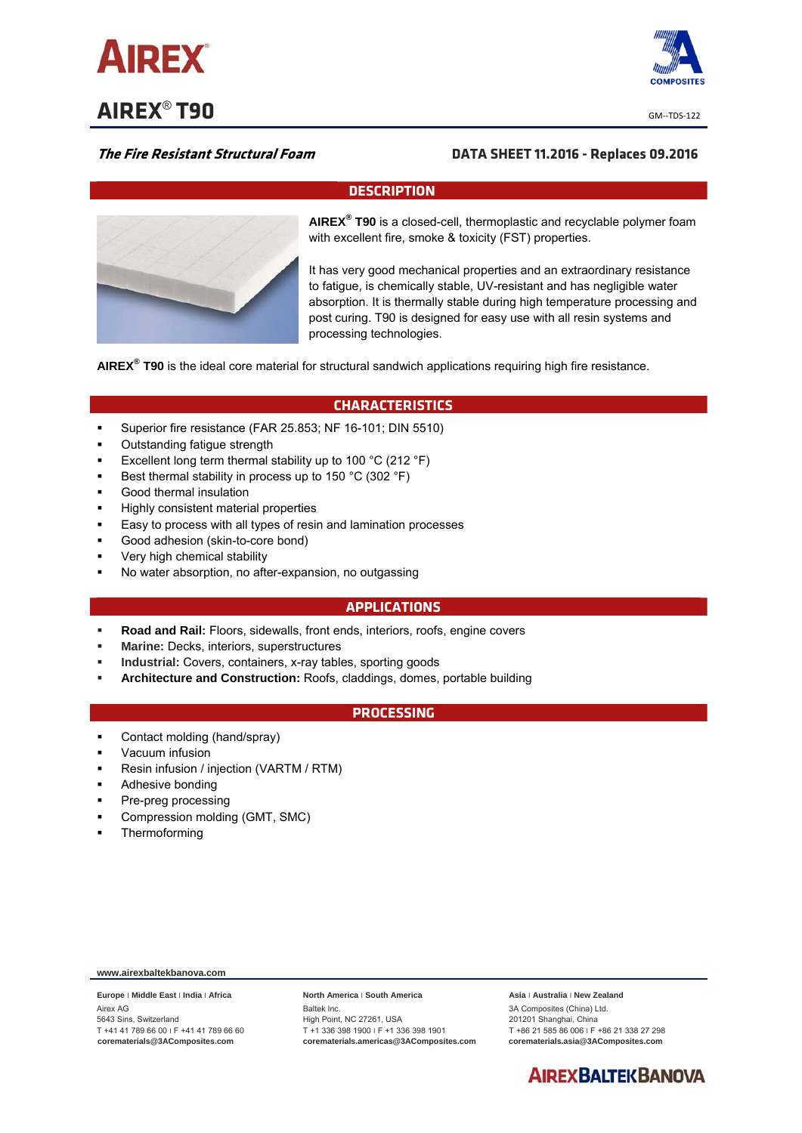

**AIREX<sup>®</sup> T90**  $\frac{1}{2}$  **GM--TDS-122** 



## **The Fire Resistant Structural Foam DATA SHEET 11.2016 - Replaces 09.2016**

### **DESCRIPTION**



**AIREX® T90** is a closed-cell, thermoplastic and recyclable polymer foam with excellent fire, smoke & toxicity (FST) properties.

It has very good mechanical properties and an extraordinary resistance to fatigue, is chemically stable, UV-resistant and has negligible water absorption. It is thermally stable during high temperature processing and post curing. T90 is designed for easy use with all resin systems and processing technologies.

**AIREX® T90** is the ideal core material for structural sandwich applications requiring high fire resistance.

# **CHARACTERISTICS**

- Superior fire resistance (FAR 25.853; NF 16-101; DIN 5510)
- Outstanding fatigue strength
- Excellent long term thermal stability up to 100 °C (212 °F)
- Best thermal stability in process up to 150 °C (302 °F)
- Good thermal insulation
- Highly consistent material properties
- Easy to process with all types of resin and lamination processes
- Good adhesion (skin-to-core bond)
- Very high chemical stability
- No water absorption, no after-expansion, no outgassing

#### **APPLICATIONS**

- **Road and Rail:** Floors, sidewalls, front ends, interiors, roofs, engine covers
- **Marine:** Decks, interiors, superstructures
- **Industrial:** Covers, containers, x-ray tables, sporting goods
- **Architecture and Construction:** Roofs, claddings, domes, portable building

### **PROCESSING**

- Contact molding (hand/spray)
- Vacuum infusion
- Resin infusion / injection (VARTM / RTM)
- Adhesive bonding
- Pre-preg processing
- Compression molding (GMT, SMC)
- **Thermoforming**

**www.airexbaltekbanova.com** 

**Europe** ׀ **Middle East** ׀ **India** ׀ **Africa**  Airex AG 5643 Sins, Switzerland T +41 41 789 66 00 ׀ F +41 41 789 66 60 **corematerials@3AComposites.com** 

#### **North America** ׀ **South America**

Baltek Inc. High Point, NC 27261, USA T +1 336 398 1900 ׀ F +1 336 398 1901 **corematerials.americas@3AComposites.com**  **Asia** ׀ **Australia** ׀ **New Zealand**  3A Composites (China) Ltd. 201201 Shanghai, China T +86 21 585 86 006 ׀ F +86 21 338 27 298 **corematerials.asia@3AComposites.com**

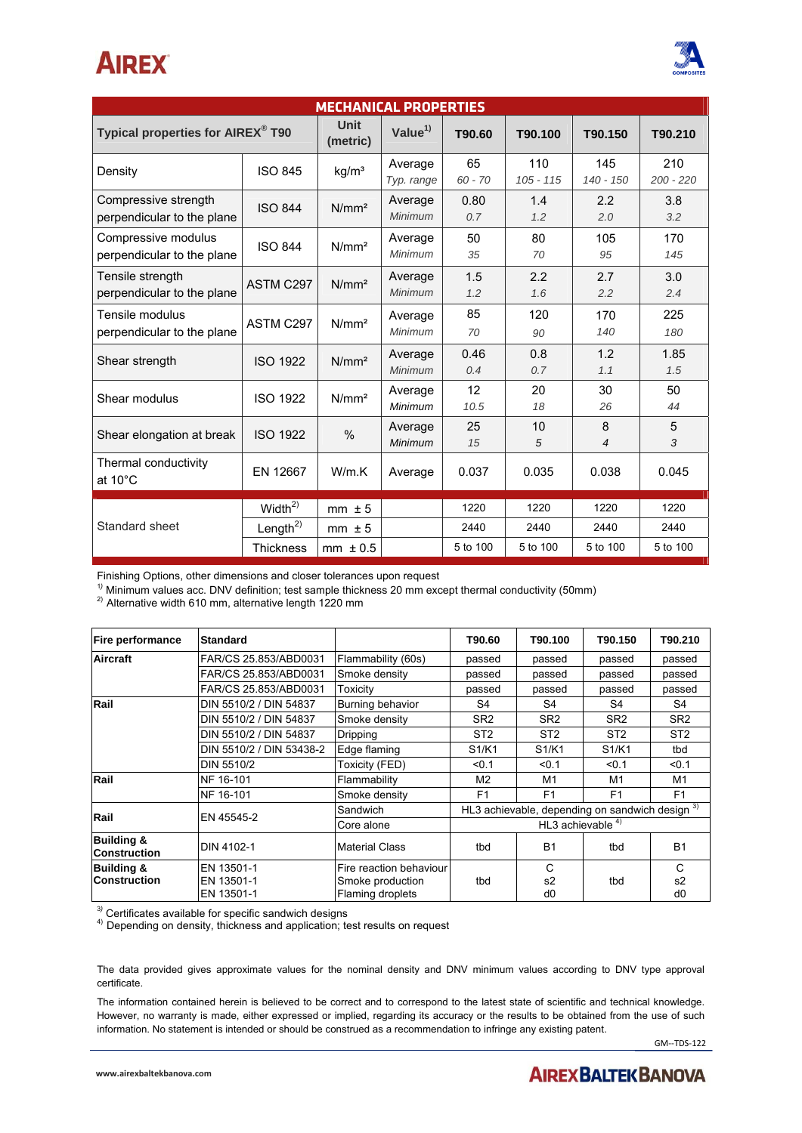# **AIREX**



| <b>MECHANICAL PROPERTIES</b>                       |                     |                   |                       |                 |                    |                  |                    |  |
|----------------------------------------------------|---------------------|-------------------|-----------------------|-----------------|--------------------|------------------|--------------------|--|
| Typical properties for AIREX® T90                  |                     | Unit<br>(metric)  | Value $1)$            | T90.60          | T90.100            | T90.150          | T90.210            |  |
| Density                                            | <b>ISO 845</b>      | kg/m <sup>3</sup> | Average<br>Typ. range | 65<br>$60 - 70$ | 110<br>$105 - 115$ | 145<br>140 - 150 | 210<br>$200 - 220$ |  |
| Compressive strength<br>perpendicular to the plane | <b>ISO 844</b>      | N/mm <sup>2</sup> | Average<br>Minimum    | 0.80<br>0.7     | 1.4<br>1.2         | 2.2<br>2.0       | 3.8<br>3.2         |  |
| Compressive modulus<br>perpendicular to the plane  | <b>ISO 844</b>      | N/mm <sup>2</sup> | Average<br>Minimum    | 50<br>35        | 80<br>70           | 105<br>95        | 170<br>145         |  |
| Tensile strength<br>perpendicular to the plane     | ASTM C297           | N/mm <sup>2</sup> | Average<br>Minimum    | 1.5<br>1.2      | 2.2<br>1.6         | 2.7<br>2.2       | 3.0<br>2.4         |  |
| Tensile modulus<br>perpendicular to the plane      | ASTM C297           | N/mm <sup>2</sup> | Average<br>Minimum    | 85<br>70        | 120<br>90          | 170<br>140       | 225<br>180         |  |
| Shear strength                                     | <b>ISO 1922</b>     | N/mm <sup>2</sup> | Average<br>Minimum    | 0.46<br>0.4     | 0.8<br>0.7         | 1.2<br>1.1       | 1.85<br>1.5        |  |
| Shear modulus                                      | <b>ISO 1922</b>     | N/mm <sup>2</sup> | Average<br>Minimum    | 12<br>10.5      | 20<br>18           | 30<br>26         | 50<br>44           |  |
| Shear elongation at break                          | <b>ISO 1922</b>     | $\frac{0}{0}$     | Average<br>Minimum    | 25<br>15        | 10<br>5            | 8<br>4           | 5<br>3             |  |
| Thermal conductivity<br>at $10^{\circ}$ C          | EN 12667            | W/m.K             | Average               | 0.037           | 0.035              | 0.038            | 0.045              |  |
| Standard sheet                                     | Width <sup>2)</sup> | $mm \pm 5$        |                       | 1220            | 1220               | 1220             | 1220               |  |
|                                                    | Length $^{2)}$      | $mm \pm 5$        |                       | 2440            | 2440               | 2440             | 2440               |  |
|                                                    | <b>Thickness</b>    | $mm \pm 0.5$      |                       | 5 to 100        | 5 to 100           | 5 to 100         | 5 to 100           |  |

Finishing Options, other dimensions and closer tolerances upon request 1*)*

<sup>1)</sup> Minimum values acc. DNV definition; test sample thickness 20 mm except thermal conductivity (50mm) <sup>2)</sup> Alternative width 610 mm, alternative length 1220 mm

| Fire performance                             | <b>Standard</b>          |                         | T90.60                                                     | T90.100                        | T90.150                        | T90.210         |
|----------------------------------------------|--------------------------|-------------------------|------------------------------------------------------------|--------------------------------|--------------------------------|-----------------|
| <b>Aircraft</b>                              | FAR/CS 25.853/ABD0031    | Flammability (60s)      | passed                                                     | passed                         | passed                         | passed          |
|                                              | FAR/CS 25.853/ABD0031    | Smoke density           | passed                                                     | passed                         | passed                         | passed          |
|                                              | FAR/CS 25.853/ABD0031    | Toxicity                | passed                                                     | passed                         | passed                         | passed          |
| Rail                                         | DIN 5510/2 / DIN 54837   | Burning behavior        | S4                                                         | S4                             | S4                             | S4              |
|                                              | DIN 5510/2 / DIN 54837   | Smoke density           | SR <sub>2</sub>                                            | SR <sub>2</sub>                | SR <sub>2</sub>                | SR <sub>2</sub> |
|                                              | DIN 5510/2 / DIN 54837   | Dripping                | ST <sub>2</sub>                                            | ST <sub>2</sub>                | ST <sub>2</sub>                | ST <sub>2</sub> |
|                                              | DIN 5510/2 / DIN 53438-2 | Edge flaming            | S1/K1                                                      | S <sub>1</sub> /K <sub>1</sub> | S <sub>1</sub> /K <sub>1</sub> | tbd             |
|                                              | DIN 5510/2               | Toxicity (FED)          | < 0.1                                                      | < 0.1                          | < 0.1                          | < 0.1           |
| Rail                                         | NF 16-101                | Flammability            | M <sub>2</sub>                                             | M1                             | M1                             | M1              |
|                                              | NF 16-101                | Smoke density           | F1                                                         | F <sub>1</sub>                 | F1                             | F1              |
| Rail                                         | EN 45545-2               | Sandwich                | HL3 achievable, depending on sandwich design <sup>3)</sup> |                                |                                |                 |
|                                              |                          | Core alone              | HL3 achievable $4)$                                        |                                |                                |                 |
| <b>Building &amp;</b><br><b>Construction</b> | DIN 4102-1               | <b>Material Class</b>   | tbd                                                        | <b>B1</b>                      | tbd                            | <b>B1</b>       |
| <b>Building &amp;</b>                        | EN 13501-1               | Fire reaction behaviour |                                                            | C                              |                                | C               |
| <b>Construction</b>                          | EN 13501-1               | Smoke production        | tbd                                                        | s2                             | tbd                            | s2              |
|                                              | EN 13501-1               | Flaming droplets        |                                                            | d <sub>0</sub>                 |                                | d <sub>0</sub>  |

<sup>3)</sup> Certificates available for specific sandwich designs

<sup>4)</sup> Depending on density, thickness and application; test results on request

The data provided gives approximate values for the nominal density and DNV minimum values according to DNV type approval certificate.

The information contained herein is believed to be correct and to correspond to the latest state of scientific and technical knowledge. However, no warranty is made, either expressed or implied, regarding its accuracy or the results to be obtained from the use of such information. No statement is intended or should be construed as a recommendation to infringe any existing patent.

GM--TDS-122